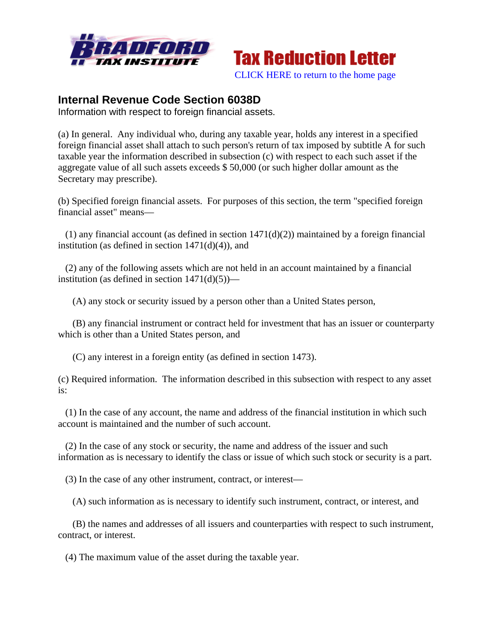



## **Internal Revenue Code Section 6038D**

Information with respect to foreign financial assets.

(a) In general. Any individual who, during any taxable year, holds any interest in a specified foreign financial asset shall attach to such person's return of tax imposed by subtitle A for such taxable year the information described in subsection (c) with respect to each such asset if the aggregate value of all such assets exceeds \$ 50,000 (or such higher dollar amount as the Secretary may prescribe).

(b) Specified foreign financial assets. For purposes of this section, the term "specified foreign financial asset" means—

(1) any financial account (as defined in section  $1471(d)(2)$ ) maintained by a foreign financial institution (as defined in section  $1471(d)(4)$ ), and

 (2) any of the following assets which are not held in an account maintained by a financial institution (as defined in section  $1471(d)(5)$ )—

(A) any stock or security issued by a person other than a United States person,

 (B) any financial instrument or contract held for investment that has an issuer or counterparty which is other than a United States person, and

(C) any interest in a foreign entity (as defined in section 1473).

(c) Required information. The information described in this subsection with respect to any asset is:

 (1) In the case of any account, the name and address of the financial institution in which such account is maintained and the number of such account.

 (2) In the case of any stock or security, the name and address of the issuer and such information as is necessary to identify the class or issue of which such stock or security is a part.

(3) In the case of any other instrument, contract, or interest—

(A) such information as is necessary to identify such instrument, contract, or interest, and

 (B) the names and addresses of all issuers and counterparties with respect to such instrument, contract, or interest.

(4) The maximum value of the asset during the taxable year.